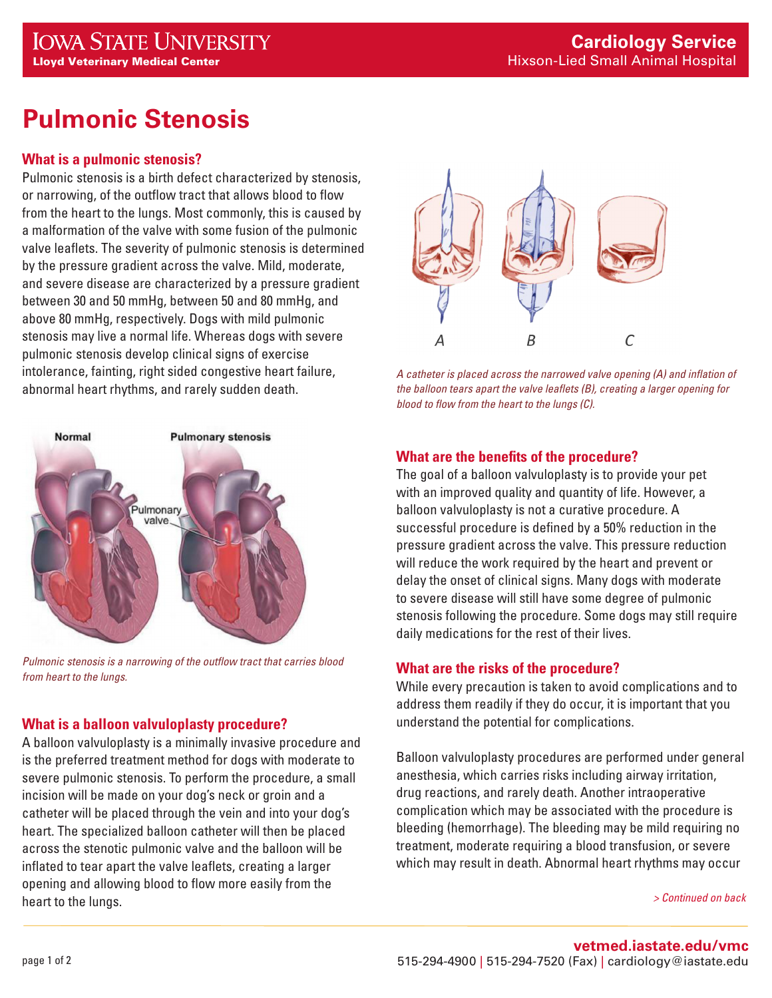# **Pulmonic Stenosis**

# **What is a pulmonic stenosis?**

Pulmonic stenosis is a birth defect characterized by stenosis, or narrowing, of the outflow tract that allows blood to flow from the heart to the lungs. Most commonly, this is caused by a malformation of the valve with some fusion of the pulmonic valve leaflets. The severity of pulmonic stenosis is determined by the pressure gradient across the valve. Mild, moderate, and severe disease are characterized by a pressure gradient between 30 and 50 mmHg, between 50 and 80 mmHg, and above 80 mmHg, respectively. Dogs with mild pulmonic stenosis may live a normal life. Whereas dogs with severe pulmonic stenosis develop clinical signs of exercise intolerance, fainting, right sided congestive heart failure, abnormal heart rhythms, and rarely sudden death.



*Pulmonic stenosis is a narrowing of the outflow tract that carries blood from heart to the lungs.*

# **What is a balloon valvuloplasty procedure?**

A balloon valvuloplasty is a minimally invasive procedure and is the preferred treatment method for dogs with moderate to severe pulmonic stenosis. To perform the procedure, a small incision will be made on your dog's neck or groin and a catheter will be placed through the vein and into your dog's heart. The specialized balloon catheter will then be placed across the stenotic pulmonic valve and the balloon will be inflated to tear apart the valve leaflets, creating a larger opening and allowing blood to flow more easily from the heart to the lungs.



*A catheter is placed across the narrowed valve opening (A) and inflation of the balloon tears apart the valve leaflets (B), creating a larger opening for blood to flow from the heart to the lungs (C).*

# **What are the benefits of the procedure?**

The goal of a balloon valvuloplasty is to provide your pet with an improved quality and quantity of life. However, a balloon valvuloplasty is not a curative procedure. A successful procedure is defined by a 50% reduction in the pressure gradient across the valve. This pressure reduction will reduce the work required by the heart and prevent or delay the onset of clinical signs. Many dogs with moderate to severe disease will still have some degree of pulmonic stenosis following the procedure. Some dogs may still require daily medications for the rest of their lives.

# **What are the risks of the procedure?**

While every precaution is taken to avoid complications and to address them readily if they do occur, it is important that you understand the potential for complications.

Balloon valvuloplasty procedures are performed under general anesthesia, which carries risks including airway irritation, drug reactions, and rarely death. Another intraoperative complication which may be associated with the procedure is bleeding (hemorrhage). The bleeding may be mild requiring no treatment, moderate requiring a blood transfusion, or severe which may result in death. Abnormal heart rhythms may occur

*> Continued on back*